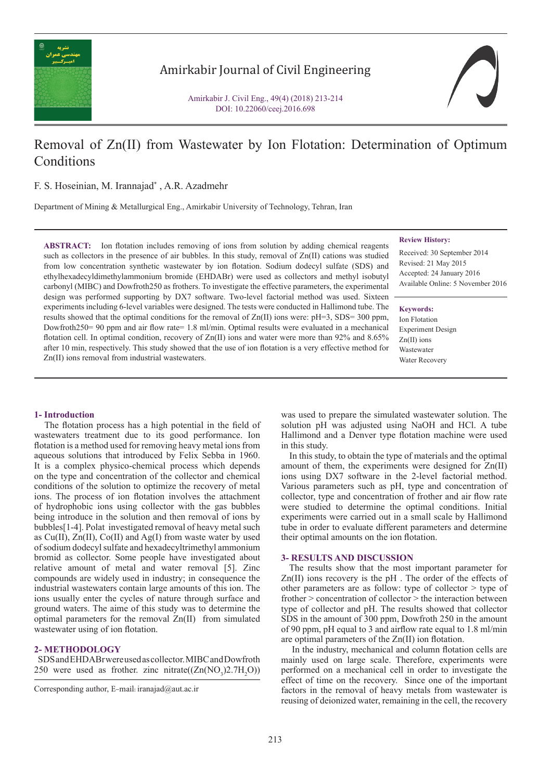

Amirkabir Journal of Civil Engineering

Amirkabir J. Civil Eng., 49(4) (2018) 213-214 DOI: 10.22060/ceej.2016.698

# Removal of Zn(II) from Wastewater by Ion Flotation: Determination of Optimum **Conditions**

F. S. Hoseinian, M. Irannajad\* , A.R. Azadmehr

Department of Mining & Metallurgical Eng., Amirkabir University of Technology, Tehran, Iran

**ABSTRACT:** Ion flotation includes removing of ions from solution by adding chemical reagents such as collectors in the presence of air bubbles. In this study, removal of  $Zn(II)$  cations was studied from low concentration synthetic wastewater by ion flotation. Sodium dodecyl sulfate (SDS) and ethylhexadecyldimethylammonium bromide (EHDABr) were used as collectors and methyl isobutyl carbonyl (MIBC) and Dowfroth250 as frothers. To investigate the effective parameters, the experimental design was performed supporting by DX7 software. Two-level factorial method was used. Sixteen experiments including 6-level variables were designed. The tests were conducted in Hallimond tube. The results showed that the optimal conditions for the removal of  $Zn(II)$  ions were:  $pH=3$ , SDS= 300 ppm, Dowfroth250= 90 ppm and air flow rate= 1.8 ml/min. Optimal results were evaluated in a mechanical flotation cell. In optimal condition, recovery of  $Zn(II)$  ions and water were more than 92% and 8.65% after 10 min, respectively. This study showed that the use of ion flotation is a very effective method for Zn(II) ions removal from industrial wastewaters.

# **Review History:**

Received: 30 September 2014 Revised: 21 May 2015 Accepted: 24 January 2016 Available Online: 5 November 2016

#### **Keywords:**

Ion Flotation Experiment Design Zn(II) ions **Wastewater** Water Recovery

## **1- Introduction**

 The flotation process has a high potential in the field of wastewaters treatment due to its good performance. Ion flotation is a method used for removing heavy metal ions from aqueous solutions that introduced by Felix Sebba in 1960. It is a complex physico-chemical process which depends on the type and concentration of the collector and chemical conditions of the solution to optimize the recovery of metal ions. The process of ion flotation involves the attachment of hydrophobic ions using collector with the gas bubbles being introduce in the solution and then removal of ions by bubbles[1-4]. Polat investigated removal of heavy metal such as  $Cu(II)$ ,  $Zn(II)$ ,  $Co(II)$  and  $Ag(I)$  from waste water by used of sodium dodecyl sulfate and hexadecyltrimethyl ammonium bromid as collector. Some people have investigated about relative amount of metal and water removal [5]. Zinc compounds are widely used in industry; in consequence the industrial wastewaters contain large amounts of this ion. The ions usually enter the cycles of nature through surface and ground waters. The aime of this study was to determine the optimal parameters for the removal Zn(II) from simulated wastewater using of ion flotation.

# **2- METHODOLOGY**

 SDS and EHDABr were used as collector. MIBC and Dowfroth 250 were used as frother. zinc nitrate( $(Zn(NO<sub>3</sub>)2.7H<sub>2</sub>O)$ )

was used to prepare the simulated wastewater solution. The solution pH was adjusted using NaOH and HCl. A tube Hallimond and a Denver type flotation machine were used in this study.

 In this study, to obtain the type of materials and the optimal amount of them, the experiments were designed for Zn(II) ions using DX7 software in the 2-level factorial method. Various parameters such as pH, type and concentration of collector, type and concentration of frother and air flow rate were studied to determine the optimal conditions. Initial experiments were carried out in a small scale by Hallimond tube in order to evaluate different parameters and determine their optimal amounts on the ion flotation.

## **3- RESULTS AND DISCUSSION**

 The results show that the most important parameter for Zn(II) ions recovery is the pH . The order of the effects of other parameters are as follow: type of collector > type of frother > concentration of collector > the interaction between type of collector and pH. The results showed that collector SDS in the amount of 300 ppm, Dowfroth 250 in the amount of 90 ppm, pH equal to 3 and airflow rate equal to 1.8 ml/min are optimal parameters of the Zn(II) ion flotation.

 In the industry, mechanical and column flotation cells are mainly used on large scale. Therefore, experiments were performed on a mechanical cell in order to investigate the effect of time on the recovery. Since one of the important factors in the removal of heavy metals from wastewater is reusing of deionized water, remaining in the cell, the recovery

Corresponding author, E-mail: iranajad@aut.ac.ir